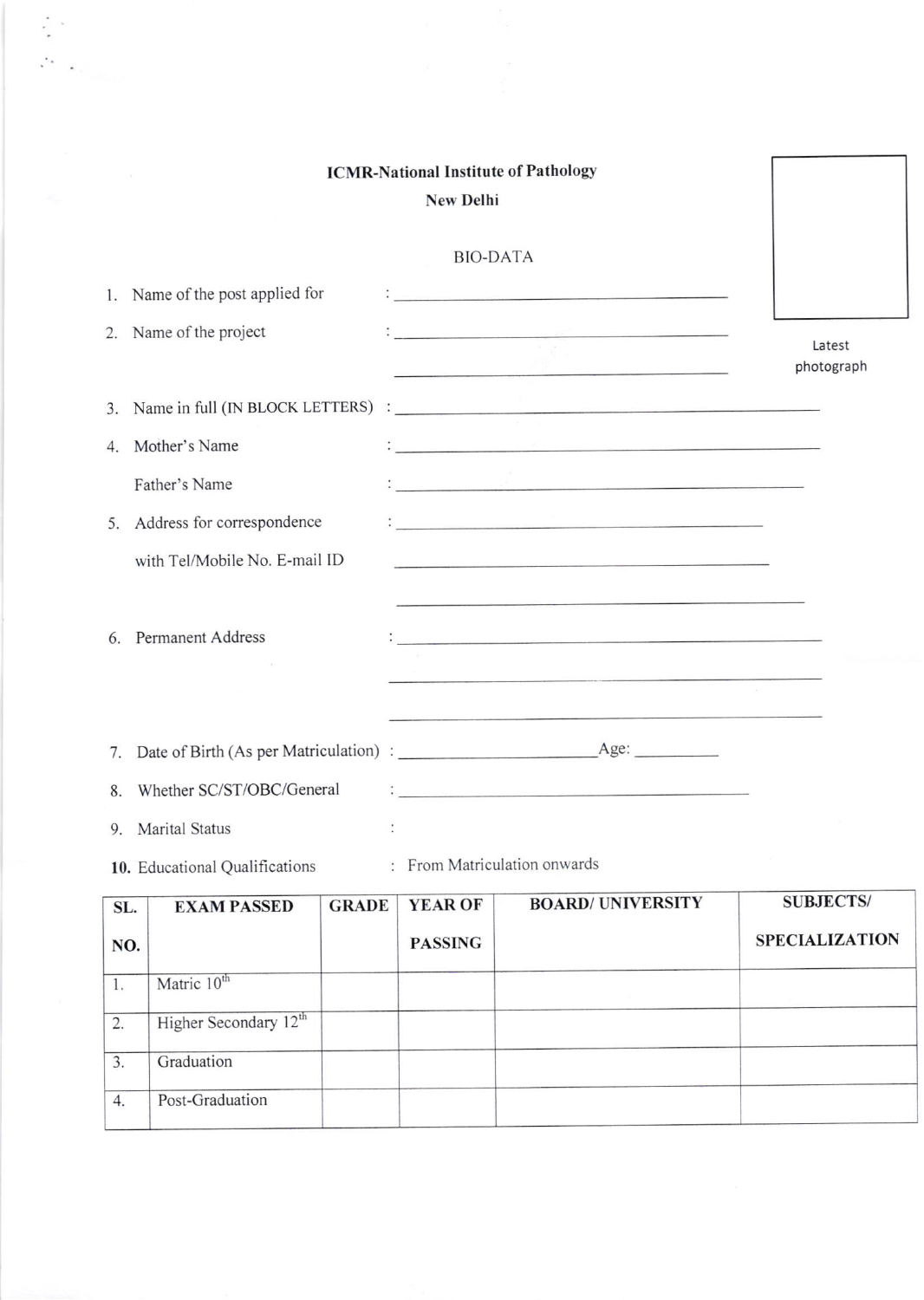## ICMR-National Institute of Pathology New Delhi BIO-DATA  $\mathbf{I}_{\text{source}}$  . The contract of the contract of the contract of the contract of the contract of the contract of the contract of the contract of the contract of the contract of the contract of the contract of the contract 1. Name of the post applied for <u> 1 januari - Januari Januari Januari Januari Januari Januari Januari Januari Januari Januari Januari Januari Januari Januari Januari Januari Januari Januari Januari Januari Januari Januari Januari Januari Januari Januari </u> 2. Name of the project Latest photograph 3. Name in tull (IN BLocK LETTERS) 4. Mother's Name Father's Name <u> 1, provincia de la componentación de la componentación de la componentación de la componentación de la compo</u> 5. Address for correspondence  $\mathbf{C}$ with Tel/Mobile No. E-mail ID 6. Permanent Address  $\mathcal{L}$ 7. Date of Birth (As per Matriculation) Age a política de la concerta de la construcción de la construcción de la construcción de la construcción de la co<br>Desde la construcción de la construcción de la construcción de la construcción de la construcción de la constr 8. Whether SC/ST/OBC/General 9. Marital Status  $\ddot{\phantom{a}}$ 10. Educational Qualifications : From Matriculation onwards

| SL.            | <b>EXAM PASSED</b>                | <b>GRADE</b> | <b>YEAR OF</b> | <b>BOARD/ UNIVERSITY</b> | <b>SUBJECTS/</b>      |
|----------------|-----------------------------------|--------------|----------------|--------------------------|-----------------------|
| NO.            |                                   |              | <b>PASSING</b> |                          | <b>SPECIALIZATION</b> |
| $\mathbf{1}$ . | Matric 10 <sup>th</sup>           |              |                |                          |                       |
| 2.             | Higher Secondary 12 <sup>th</sup> |              |                |                          |                       |
| 3.             | Graduation                        |              |                |                          |                       |
| 4.             | Post-Graduation                   |              |                |                          |                       |